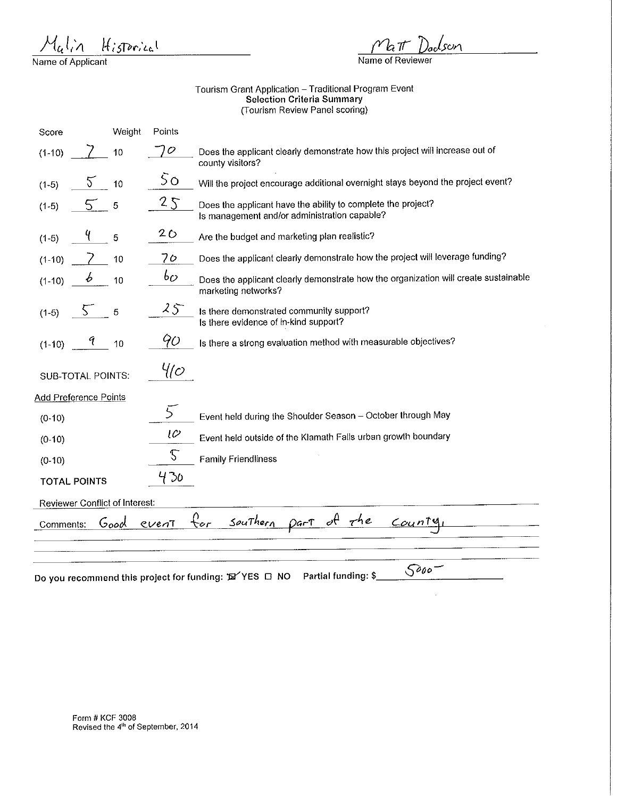Historical *}1c,* 1,.'ll

Name of Applicant

son

 $\hat{\mathcal{A}}$ 

**Name of Reviewer** 

## Tourism Grant Application - Traditional Program Event Selection Criteria Summary (Tourism Review Panel scoring)

 $\overline{\phantom{a}}$ 

| Score                                                                         | Weight | Points        |                                                                                                              |  |
|-------------------------------------------------------------------------------|--------|---------------|--------------------------------------------------------------------------------------------------------------|--|
| $(1-10)$                                                                      | 10     | $\mathcal{O}$ | Does the applicant clearly demonstrate how this project will increase out of<br>county visitors?             |  |
| Ğ.<br>$(1-5)$                                                                 | 10     | 50            | Will the project encourage additional overnight stays beyond the project event?                              |  |
| 5.<br>$(1-5)$                                                                 | 5      | 25            | Does the applicant have the ability to complete the project?<br>Is management and/or administration capable? |  |
| $(1-5)$                                                                       | 5      | 20            | Are the budget and marketing plan realistic?                                                                 |  |
| $(1-10)$                                                                      | 10     | 70            | Does the applicant clearly demonstrate how the project will leverage funding?                                |  |
| t<br>$(1-10)$                                                                 | 10     | bo            | Does the applicant clearly demonstrate how the organization will create sustainable<br>marketing networks?   |  |
| S.<br>$(1-5)$                                                                 | 5      | 25            | Is there demonstrated community support?<br>Is there evidence of in-kind support?                            |  |
| 9<br>$(1 - 10)$                                                               | 10     | 90            | Is there a strong evaluation method with measurable objectives?                                              |  |
| <b>SUB-TOTAL POINTS:</b>                                                      |        | Ч(с)          |                                                                                                              |  |
| Add Preference Points                                                         |        |               |                                                                                                              |  |
| $(0-10)$                                                                      |        | 5             | Event held during the Shoulder Season - October through May                                                  |  |
| $(0-10)$                                                                      |        | ιc            | Event held outside of the Klamath Falls urban growth boundary                                                |  |
| $(0-10)$                                                                      |        | 5             | <b>Family Friendliness</b>                                                                                   |  |
| <b>TOTAL POINTS</b>                                                           |        | 430           |                                                                                                              |  |
| <b>Reviewer Conflict of Interest:</b>                                         |        |               |                                                                                                              |  |
| for<br>part of the<br>Southern<br><u>County</u><br>Good<br>event<br>Comments: |        |               |                                                                                                              |  |
|                                                                               |        |               |                                                                                                              |  |
|                                                                               |        |               |                                                                                                              |  |
|                                                                               |        |               | 5000<br>Partial funding: \$<br>Do you recommend this project for funding: "De YES □ NO                       |  |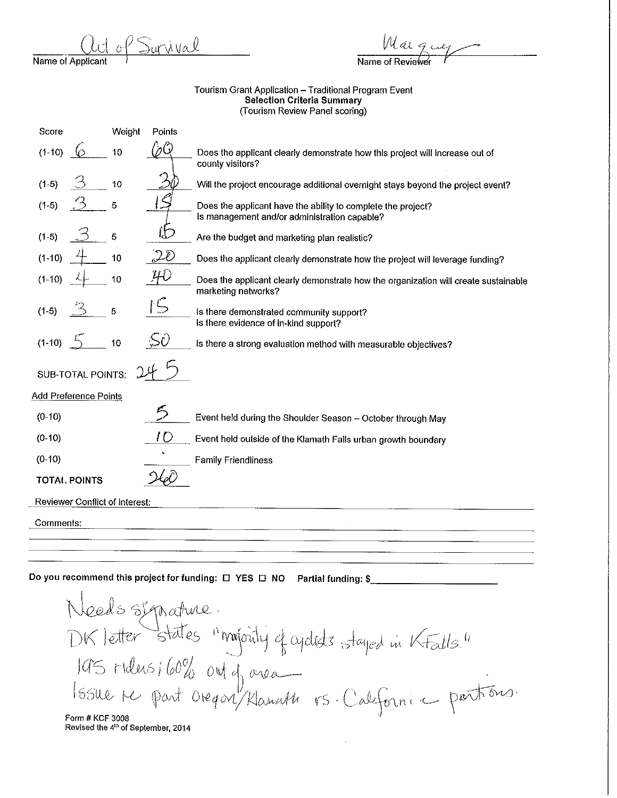$\frac{1}{\text{Name of Application}}$  and  $\frac{1}{\text{Name of Review}}$ 

Name of Reviewer

## Tourism Grant Application - Traditional Program Event Selection Criteria Summary (Tourism Review Panel scoring)

| Score                                                                         |                                | Weight | Points |                                                                                                              |
|-------------------------------------------------------------------------------|--------------------------------|--------|--------|--------------------------------------------------------------------------------------------------------------|
| $(1-10)$                                                                      |                                | 10     |        | Does the applicant clearly demonstrate how this project will increase out of<br>county visitors?             |
| $(1-5)$                                                                       |                                | 10     |        | Will the project encourage additional overnight stays beyond the project event?                              |
| $(1-5)$                                                                       |                                | 5      |        | Does the applicant have the ability to complete the project?<br>Is management and/or administration capable? |
| $(1-5)$                                                                       |                                | 5      |        | Are the budget and marketing plan realistic?                                                                 |
| $(1-10)$                                                                      |                                | 10     | ZD     | Does the applicant clearly demonstrate how the project will leverage funding?                                |
| $(1-10)$                                                                      |                                | 10     |        | Does the applicant clearly demonstrate how the organization will create sustainable<br>marketing networks?   |
| $(1-5)$                                                                       |                                | 5      |        | Is there demonstrated community support?<br>Is there evidence of in-kind support?                            |
| $(1-10)$                                                                      |                                | 10     |        | Is there a strong evaluation method with measurable objectives?                                              |
|                                                                               | <b>SUB-TOTAL POINTS:</b>       |        |        |                                                                                                              |
|                                                                               | <b>Add Preference Points</b>   |        |        |                                                                                                              |
| $(0-10)$                                                                      |                                |        |        | Event held during the Shoulder Season - October through May                                                  |
| $(0-10)$                                                                      |                                |        | I D    | Event held outside of the Klamath Falls urban growth boundary                                                |
| $(0-10)$                                                                      |                                |        |        | <b>Family Friendliness</b>                                                                                   |
|                                                                               | <b>TOTAL POINTS</b>            |        |        |                                                                                                              |
|                                                                               | Reviewer Conflict of Interest: |        |        |                                                                                                              |
| Comments:                                                                     |                                |        |        |                                                                                                              |
|                                                                               |                                |        |        |                                                                                                              |
|                                                                               |                                |        |        |                                                                                                              |
|                                                                               |                                |        |        | Do you recommend this project for funding: $\Box$ Y                                                          |
|                                                                               |                                |        |        |                                                                                                              |
|                                                                               |                                |        |        |                                                                                                              |
| Needs signature.<br>DK letter states "majointy of agalists stayed in Kralls." |                                |        |        |                                                                                                              |
| 195 ridus; 60% outof area                                                     |                                |        |        |                                                                                                              |
|                                                                               |                                |        |        |                                                                                                              |
|                                                                               |                                |        |        |                                                                                                              |
|                                                                               |                                |        |        |                                                                                                              |

.]

 $\sim 0.4$  .

Form# KCF 3008 **Revised the 4th of September, 2014**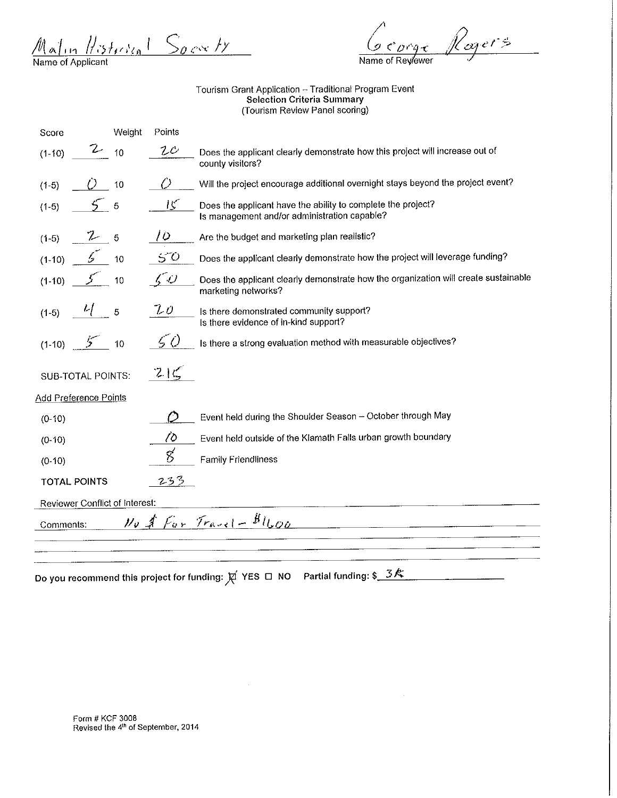$\frac{\mathcal{M}_{\alpha} \int_{\Omega} \frac{1}{\sqrt{5}} \frac{1}{2} \int_{\Omega} \frac{1}{2} \frac{1}{2} \int_{\Omega} \frac{1}{2} \frac{1}{2} \int_{\Omega} \frac{1}{2} \frac{1}{2} \frac{1}{2} \int_{\Omega} \frac{1}{2} \frac{1}{2} \frac{1}{2} \int_{\Omega} \frac{1}{2} \frac{1}{2} \frac{1}{2} \int_{\Omega} \frac{1}{2} \frac{1}{2} \frac{1}{2} \int_{\Omega} \frac{1}{2} \frac{1}{2} \frac{1}{2} \int_{\Omega} \frac{1}{$ 

orge Rogers Name of Reylewer

Tourism Grant Application -- Traditional Program Event Selection Criteria Summary (Tourism Review Panel scoring)

| Score                                                  | Weight | Points         |                                                                                                              |
|--------------------------------------------------------|--------|----------------|--------------------------------------------------------------------------------------------------------------|
| L<br>$(1-10)$                                          | 10     | 1Δ             | Does the applicant clearly demonstrate how this project will increase out of<br>county visitors?             |
| $(1-5)$                                                | 10     |                | Will the project encourage additional overnight stays beyond the project event?                              |
| $(1-5)$                                                | 5      | K              | Does the applicant have the ability to complete the project?<br>Is management and/or administration capable? |
| Z<br>$(1-5)$                                           | 5      | 10             | Are the budget and marketing plan realistic?                                                                 |
| 5.<br>$(1-10)$                                         | 10     | 50             | Does the applicant clearly demonstrate how the project will leverage funding?                                |
| $(1-10)$                                               | 10     | $\zeta \omega$ | Does the applicant clearly demonstrate how the organization will create sustainable<br>marketing networks?   |
| Ч<br>$(1-5)$                                           | 5      | 20             | Is there demonstrated community support?<br>Is there evidence of in-kind support?                            |
| $5 -$<br>$(1-10)$                                      | 10     | 50             | Is there a strong evaluation method with measurable objectives?                                              |
| <b>SUB-TOTAL POINTS:</b>                               |        | 215            |                                                                                                              |
| Add Preference Points                                  |        |                |                                                                                                              |
| $(0-10)$                                               |        |                | Event held during the Shoulder Season - October through May                                                  |
| $(0-10)$                                               |        | 70             | Event held outside of the Klamath Falls urban growth boundary                                                |
| $(0-10)$                                               |        |                | <b>Family Friendliness</b>                                                                                   |
| <b>TOTAL POINTS</b>                                    |        | 233            |                                                                                                              |
| Reviewer Conflict of Interest:                         |        |                |                                                                                                              |
| $y_0 \nless f_{ar}$ France - $B_{l_0q_0}$<br>Comments: |        |                |                                                                                                              |
|                                                        |        |                |                                                                                                              |
|                                                        |        |                |                                                                                                              |
|                                                        |        |                | Partial funding: \$34                                                                                        |

 $\bar{z}$ 

Form# KCF 3008 **Revised the 4th of September, 2014**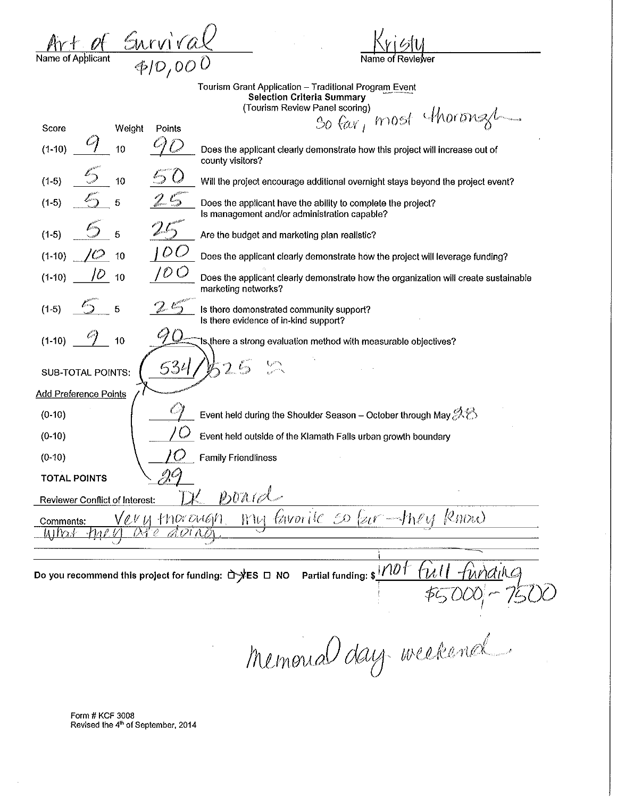| Art $\alpha$      | Survival       |
|-------------------|----------------|
| Name of Applicant | $\oint$  O,000 |

Name of

Tourism Grant Application – Traditional Progra<u>m Even</u>t<br>Selection Criteria Summary (Tourism Review Panel scoring} */1. {* 

| Score                                                                                               |                                               | Weight | Points | So far, most thorous xu                                                                                      |
|-----------------------------------------------------------------------------------------------------|-----------------------------------------------|--------|--------|--------------------------------------------------------------------------------------------------------------|
| $(1-10)$                                                                                            |                                               | 10     |        | Does the applicant clearly demonstrate how this project will increase out of<br>county visitors?             |
| $(1-5)$                                                                                             |                                               | 10     |        | Will the project encourage additional overnight stays beyond the project event?                              |
| $(1-5)$                                                                                             |                                               | 5      |        | Does the applicant have the ability to complete the project?<br>Is management and/or administration capable? |
| $(1-5)$                                                                                             |                                               | 5      |        | Are the budget and marketing plan realistic?                                                                 |
| $(1-10)$                                                                                            |                                               | 10     | U      | Does the applicant clearly demonstrate how the project will leverage funding?                                |
| $(1-10)$                                                                                            |                                               | 10     | 10 C   | Does the applicant clearly demonstrate how the organization will create sustainable<br>marketing networks?   |
| $(1-5)$                                                                                             |                                               | 5      |        | Is there demonstrated community support?<br>Is there evidence of in-kind support?                            |
| $(1-10)$                                                                                            |                                               | 10     |        | 1s there a strong evaluation method with measurable objectives?                                              |
|                                                                                                     | SUB-TOTAL POINTS:                             |        | 534    |                                                                                                              |
|                                                                                                     | <b>Add Preference Points</b>                  |        |        |                                                                                                              |
| $(0-10)$                                                                                            |                                               |        |        | Event held during the Shoulder Season – October through May $\mathscr{B}\mathcal{B}$                         |
| $(0-10)$                                                                                            |                                               |        |        | Event held outside of the Klamath Falls urban growth boundary                                                |
| $(0-10)$                                                                                            |                                               |        |        | <b>Family Friendliness</b>                                                                                   |
|                                                                                                     | <b>TOTAL POINTS</b>                           |        |        |                                                                                                              |
| $\mathit{pord-}$<br>Reviewer Conflict of Interest:                                                  |                                               |        |        |                                                                                                              |
| $\ell$ mou<br>$faworile$ so $\ell$ ur -theu<br>'evy thorough<br>W1<br>Comments:<br>Ω⊹<br>D<br>MTP64 |                                               |        |        |                                                                                                              |
|                                                                                                     |                                               |        |        |                                                                                                              |
|                                                                                                     | 1101<br><u>un</u> diha<br>Partial funding: \$ |        |        |                                                                                                              |
|                                                                                                     |                                               |        |        |                                                                                                              |

Form# KCF 3008 Revised the 4<sup>th</sup> of September, 2014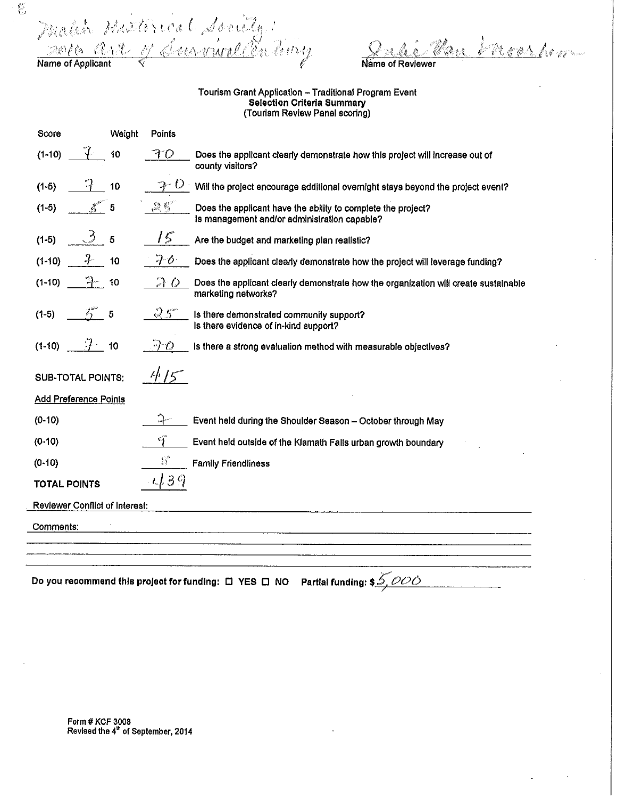$\hbar$   $\mathcal{H}$ l, *,,.,'.! (:* 

 $\frac{\partial \mathcal{L}}{\partial \mathcal{L}}$ 

Danshow ్డి Name of Reviewer

## Tourism Grant Application - Traditional Program Event Selection Criteria Summary (Tourism Review Panel scoring)

| Score                          | Weight | Points |                                                                                                              |
|--------------------------------|--------|--------|--------------------------------------------------------------------------------------------------------------|
| $(1-10)$                       | 10     | FO     | Does the applicant clearly demonstrate how this project will increase out of<br>county visitors?             |
| $(1-5)$                        | 10     |        | Will the project encourage additional overnight stays beyond the project event?                              |
| $(1-5)$                        | 5      | 25     | Does the applicant have the ability to complete the project?<br>Is management and/or administration capable? |
| $(1-5)$                        | 5      | ド      | Are the budget and marketing plan realistic?                                                                 |
| $(1-10)$                       | 10     | $7\,$  | Does the applicant clearly demonstrate how the project will leverage funding?                                |
| $(1-10)$                       | 10     | おひ     | Does the applicant clearly demonstrate how the organization will create sustainable<br>marketing networks?   |
| $(1-5)$                        | 5      | 25     | Is there demonstrated community support?<br>Is there evidence of in-kind support?                            |
| $(1-10)$                       | 10     | 70     | Is there a strong evaluation method with measurable objectives?                                              |
| <b>SUB-TOTAL POINTS:</b>       |        | 4/5    |                                                                                                              |
| Add Preference Points          |        |        |                                                                                                              |
| $(0-10)$                       |        |        | Event held during the Shoulder Season - October through May                                                  |
| (0.10)                         |        | G      | Event held outside of the Klamath Falls urban growth boundary                                                |
| $(0-10)$                       |        | E.     | <b>Family Friendliness</b>                                                                                   |
| <b>TOTAL POINTS</b>            |        | 139    |                                                                                                              |
| Reviewer Conflict of Interest: |        |        |                                                                                                              |
| Comments:                      |        |        |                                                                                                              |
|                                |        |        |                                                                                                              |
|                                |        |        |                                                                                                              |
|                                |        |        | Partial funding: \$_5, <i>OOO</i><br>Do you recommend this project for funding: $\Box$ YES $\Box$ NO         |

Form# KCF 3008 Revised the 4" of September, 2014